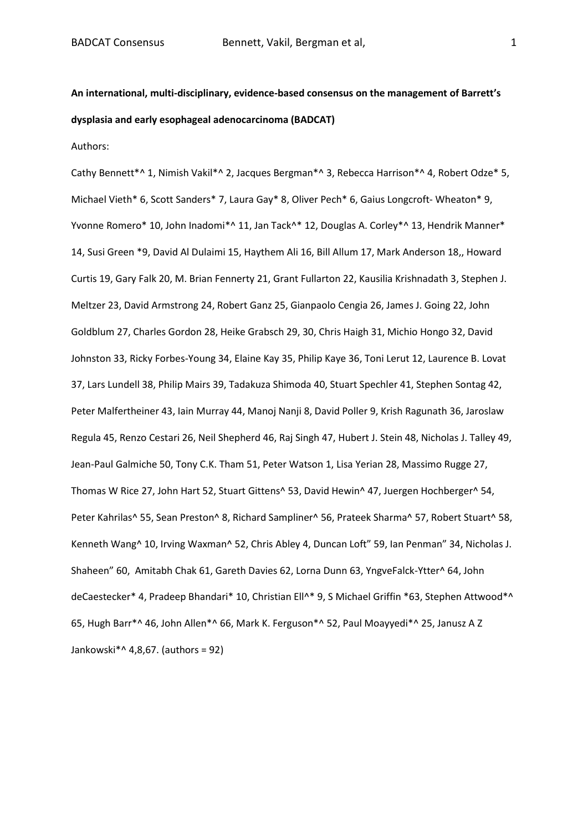**An international, multi-disciplinary, evidence-based consensus on the management of Barrett's dysplasia and early esophageal adenocarcinoma (BADCAT)**

Authors:

Cathy Bennett\*^ 1, Nimish Vakil\*^ 2, Jacques Bergman\*^ 3, Rebecca Harrison\*^ 4, Robert Odze\* 5, Michael Vieth\* 6, Scott Sanders\* 7, Laura Gay\* 8, Oliver Pech\* 6, Gaius Longcroft- Wheaton\* 9, Yvonne Romero\* 10, John Inadomi\*^ 11, Jan Tack^\* 12, Douglas A. Corley\*^ 13, Hendrik Manner\* 14, Susi Green \*9, David Al Dulaimi 15, Haythem Ali 16, Bill Allum 17, Mark Anderson 18,, Howard Curtis 19, Gary Falk 20, M. Brian Fennerty 21, Grant Fullarton 22, Kausilia Krishnadath 3, Stephen J. Meltzer 23, David Armstrong 24, Robert Ganz 25, Gianpaolo Cengia 26, James J. Going 22, John Goldblum 27, Charles Gordon 28, Heike Grabsch 29, 30, Chris Haigh 31, Michio Hongo 32, David Johnston 33, Ricky Forbes-Young 34, Elaine Kay 35, Philip Kaye 36, Toni Lerut 12, Laurence B. Lovat 37, Lars Lundell 38, Philip Mairs 39, Tadakuza Shimoda 40, Stuart Spechler 41, Stephen Sontag 42, Peter Malfertheiner 43, Iain Murray 44, Manoj Nanji 8, David Poller 9, Krish Ragunath 36, Jaroslaw Regula 45, Renzo Cestari 26, Neil Shepherd 46, Raj Singh 47, Hubert J. Stein 48, Nicholas J. Talley 49, Jean-Paul Galmiche 50, Tony C.K. Tham 51, Peter Watson 1, Lisa Yerian 28, Massimo Rugge 27, Thomas W Rice 27, John Hart 52, Stuart Gittens^ 53, David Hewin^ 47, Juergen Hochberger^ 54, Peter Kahrilas^ 55, Sean Preston^ 8, Richard Sampliner^ 56, Prateek Sharma^ 57, Robert Stuart^ 58, Kenneth Wang^ 10, Irving Waxman^ 52, Chris Abley 4, Duncan Loft" 59, Ian Penman" 34, Nicholas J. Shaheen" 60, Amitabh Chak 61, Gareth Davies 62, Lorna Dunn 63, YngveFalck-Ytter^ 64, John deCaestecker\* 4, Pradeep Bhandari\* 10, Christian Ell^\* 9, S Michael Griffin \*63, Stephen Attwood\*^ 65, Hugh Barr\*^ 46, John Allen\*^ 66, Mark K. Ferguson\*^ 52, Paul Moayyedi\*^ 25, Janusz A Z Jankowski\*^ 4,8,67. (authors = 92)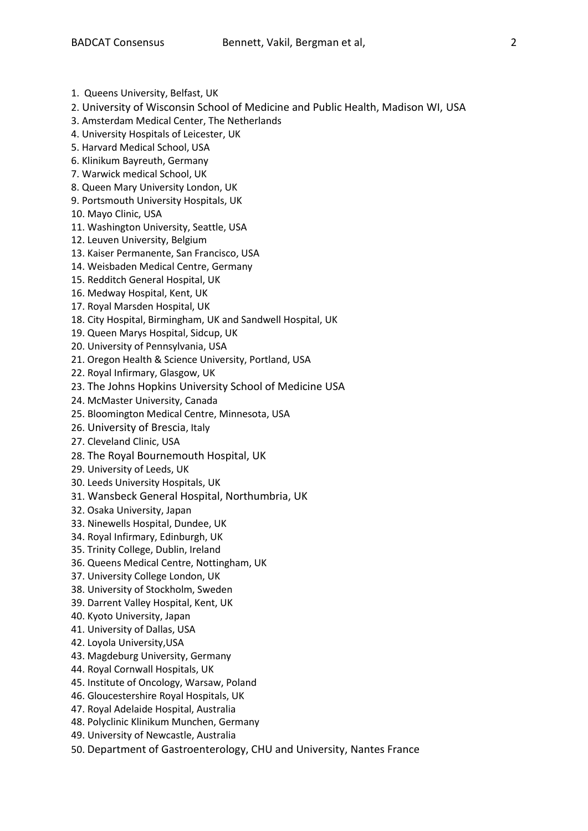- 1. Queens University, Belfast, UK
- 2. University of Wisconsin School of Medicine and Public Health, Madison WI, USA
- 3. Amsterdam Medical Center, The Netherlands
- 4. University Hospitals of Leicester, UK
- 5. Harvard Medical School, USA
- 6. Klinikum Bayreuth, Germany
- 7. Warwick medical School, UK
- 8. Queen Mary University London, UK
- 9. Portsmouth University Hospitals, UK
- 10. Mayo Clinic, USA
- 11. Washington University, Seattle, USA
- 12. Leuven University, Belgium
- 13. Kaiser Permanente, San Francisco, USA
- 14. Weisbaden Medical Centre, Germany
- 15. Redditch General Hospital, UK
- 16. Medway Hospital, Kent, UK
- 17. Royal Marsden Hospital, UK
- 18. City Hospital, Birmingham, UK and Sandwell Hospital, UK
- 19. Queen Marys Hospital, Sidcup, UK
- 20. University of Pennsylvania, USA
- 21. Oregon Health & Science University, Portland, USA
- 22. Royal Infirmary, Glasgow, UK
- 23. The Johns Hopkins University School of Medicine USA
- 24. McMaster University, Canada
- 25. Bloomington Medical Centre, Minnesota, USA
- 26. University of Brescia, Italy
- 27. Cleveland Clinic, USA
- 28. The Royal Bournemouth Hospital, UK
- 29. University of Leeds, UK
- 30. Leeds University Hospitals, UK
- 31. Wansbeck General Hospital, Northumbria, UK
- 32. Osaka University, Japan
- 33. Ninewells Hospital, Dundee, UK
- 34. Royal Infirmary, Edinburgh, UK
- 35. Trinity College, Dublin, Ireland
- 36. Queens Medical Centre, Nottingham, UK
- 37. University College London, UK
- 38. University of Stockholm, Sweden
- 39. Darrent Valley Hospital, Kent, UK
- 40. Kyoto University, Japan
- 41. University of Dallas, USA
- 42. Loyola University,USA
- 43. Magdeburg University, Germany
- 44. Royal Cornwall Hospitals, UK
- 45. Institute of Oncology, Warsaw, Poland
- 46. Gloucestershire Royal Hospitals, UK
- 47. Royal Adelaide Hospital, Australia
- 48. Polyclinic Klinikum Munchen, Germany
- 49. University of Newcastle, Australia
- 50. Department of Gastroenterology, CHU and University, Nantes France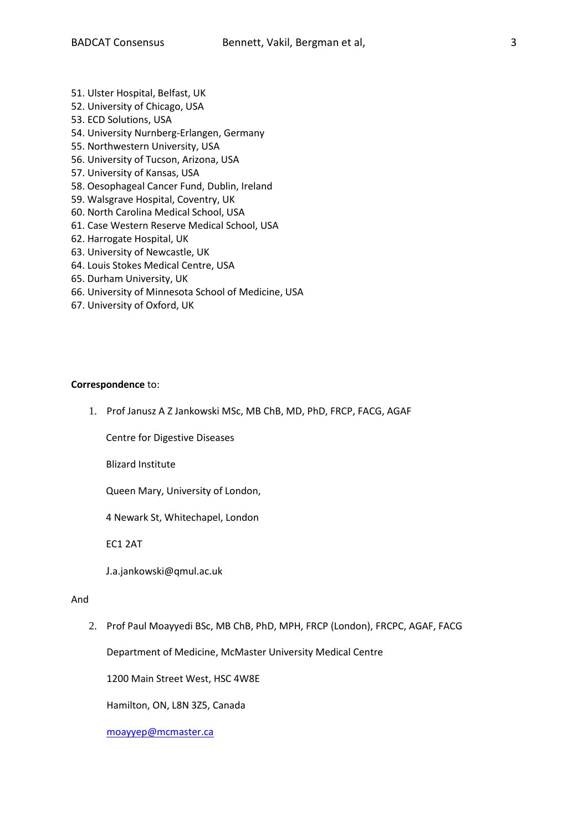- 51. Ulster Hospital, Belfast, UK
- 52. University of Chicago, USA
- 53. ECD Solutions, USA
- 54. University Nurnberg-Erlangen, Germany
- 55. Northwestern University, USA
- 56. University of Tucson, Arizona, USA
- 57. University of Kansas, USA
- 58. Oesophageal Cancer Fund, Dublin, Ireland
- 59. Walsgrave Hospital, Coventry, UK
- 60. North Carolina Medical School, USA
- 61. Case Western Reserve Medical School, USA
- 62. Harrogate Hospital, UK
- 63. University of Newcastle, UK
- 64. Louis Stokes Medical Centre, USA
- 65. Durham University, UK
- 66. University of Minnesota School of Medicine, USA
- 67. University of Oxford, UK

## **Correspondence** to:

1. Prof Janusz A Z Jankowski MSc, MB ChB, MD, PhD, FRCP, FACG, AGAF

Centre for Digestive Diseases

Blizard Institute

Queen Mary, University of London,

4 Newark St, Whitechapel, London

EC1 2AT

J.a.jankowski@qmul.ac.uk

## And

2. Prof Paul Moayyedi BSc, MB ChB, PhD, MPH, FRCP (London), FRCPC, AGAF, FACG

Department of Medicine, McMaster University Medical Centre

1200 Main Street West, HSC 4W8E

Hamilton, ON, L8N 3Z5, Canada

[moayyep@mcmaster.ca](mailto:moayyep@mcmaster.ca)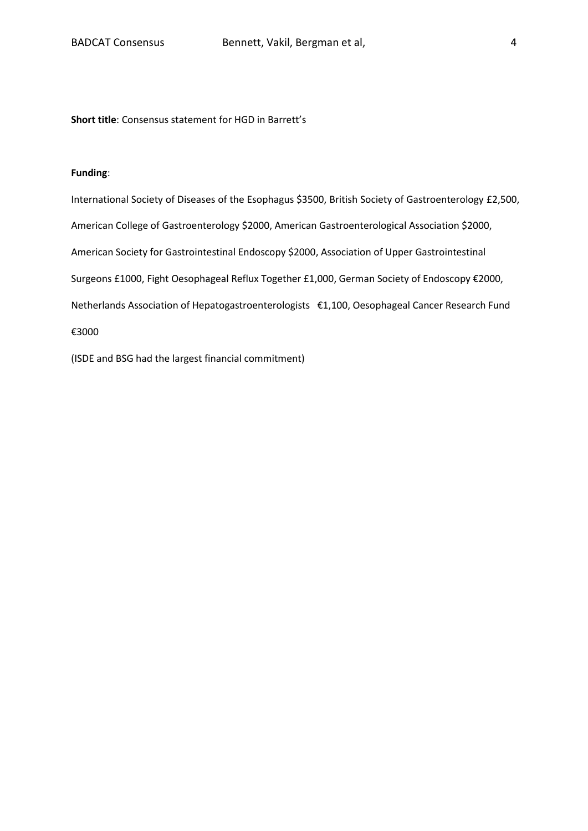**Short title**: Consensus statement for HGD in Barrett's

## **Funding**:

International Society of Diseases of the Esophagus \$3500, British Society of Gastroenterology £2,500, American College of Gastroenterology \$2000, American Gastroenterological Association \$2000, American Society for Gastrointestinal Endoscopy \$2000, Association of Upper Gastrointestinal Surgeons £1000, Fight Oesophageal Reflux Together £1,000, German Society of Endoscopy €2000, Netherlands Association of Hepatogastroenterologists €1,100, Oesophageal Cancer Research Fund €3000

(ISDE and BSG had the largest financial commitment)